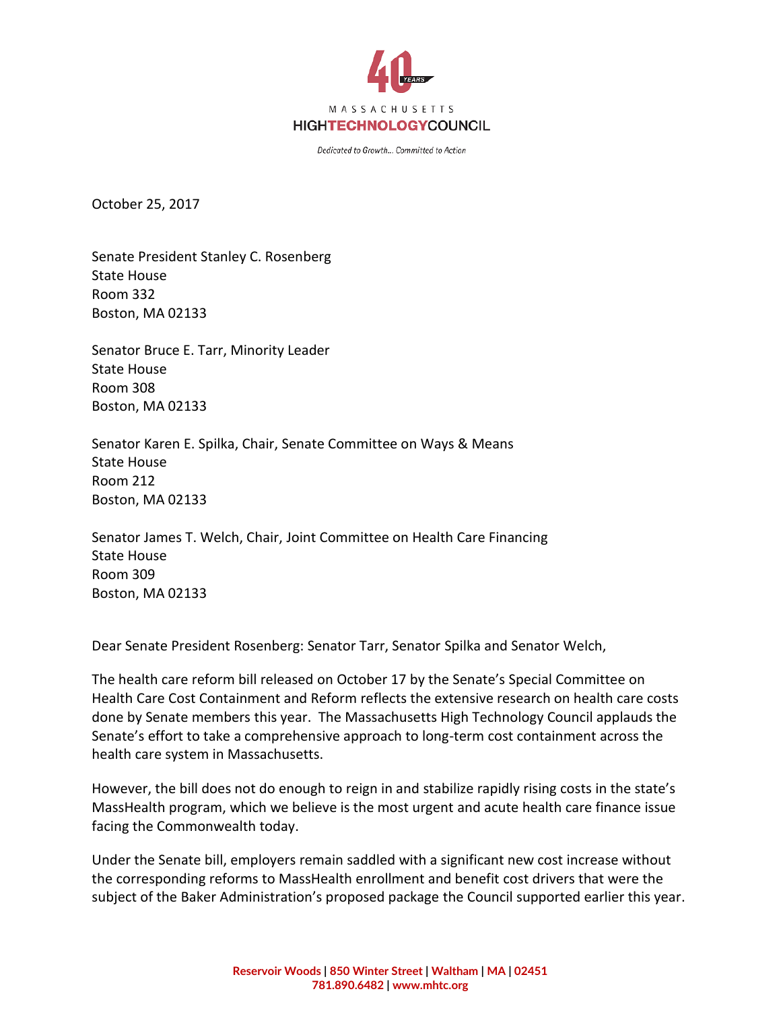

Dedicated to Growth... Committed to Action

October 25, 2017

Senate President Stanley C. Rosenberg State House Room 332 Boston, MA 02133

Senator Bruce E. Tarr, Minority Leader State House Room 308 Boston, MA 02133

Senator Karen E. Spilka, Chair, Senate Committee on Ways & Means State House Room 212 Boston, MA 02133

Senator James T. Welch, Chair, Joint Committee on Health Care Financing State House Room 309 Boston, MA 02133

Dear Senate President Rosenberg: Senator Tarr, Senator Spilka and Senator Welch,

The health care reform bill released on October 17 by the Senate's Special Committee on Health Care Cost Containment and Reform reflects the extensive research on health care costs done by Senate members this year. The Massachusetts High Technology Council applauds the Senate's effort to take a comprehensive approach to long-term cost containment across the health care system in Massachusetts.

However, the bill does not do enough to reign in and stabilize rapidly rising costs in the state's MassHealth program, which we believe is the most urgent and acute health care finance issue facing the Commonwealth today.

Under the Senate bill, employers remain saddled with a significant new cost increase without the corresponding reforms to MassHealth enrollment and benefit cost drivers that were the subject of the Baker Administration's proposed package the Council supported earlier this year.